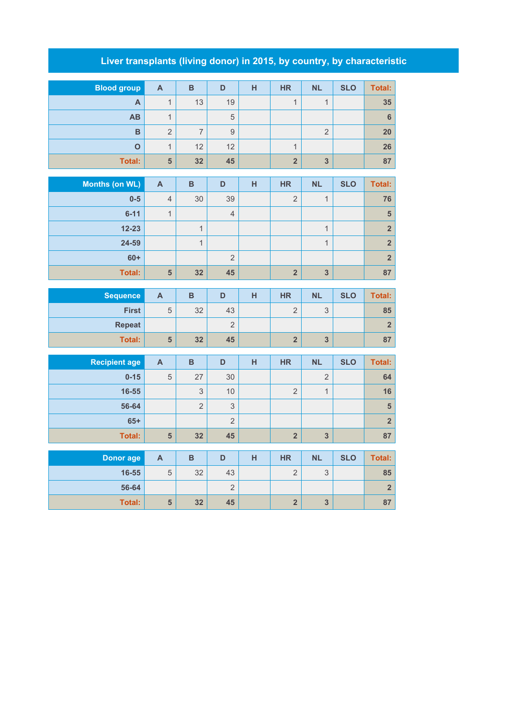## **Liver transplants (living donor) in 2015, by country, by characteristic**

| <b>Blood group</b> | $\mathsf{A}$   | B  | D  | н | <b>HR</b> | <b>NL</b> | <b>SLO</b> | <b>Total:</b> |
|--------------------|----------------|----|----|---|-----------|-----------|------------|---------------|
| A                  |                | 13 | 19 |   | 4         | A         |            | 35            |
| <b>AB</b>          | a              |    | 5  |   |           |           |            | 6             |
| B                  | $\overline{2}$ | ⇁  | 9  |   |           | ∩<br>∠    |            | 20            |
| $\Omega$           | и              | 12 | 12 |   |           |           |            | 26            |
| Total:             | 5              | 32 | 45 |   | $\Omega$  | 3         |            | 87            |

| Months (on WL) | $\mathsf{A}$   | B  | D              | н | <b>HR</b>  | <b>NL</b>                | <b>SLO</b> | Total:         |
|----------------|----------------|----|----------------|---|------------|--------------------------|------------|----------------|
| $0-5$          | $\overline{4}$ | 30 | 39             |   | $\Omega$   | $\overline{\mathcal{A}}$ |            | 76             |
| $6 - 11$       | 1              |    | $\overline{4}$ |   |            |                          |            | 5              |
| $12 - 23$      |                |    |                |   |            | $\overline{\mathbf{A}}$  |            | 2 <sup>1</sup> |
| 24-59          |                |    |                |   |            | $\overline{\mathbf{A}}$  |            | 2 <sup>2</sup> |
| $60+$          |                |    | $\overline{2}$ |   |            |                          |            | 2 <sup>2</sup> |
| <b>Total:</b>  | 5              | 32 | 45             |   | $\sqrt{2}$ | 3                        |            | 87             |

| <b>Sequence</b> | $\mathbf{A}$ | в  | D  | н | <b>HR</b>        | <b>NL</b>     | <b>SLO</b> | <b>Total:</b> |
|-----------------|--------------|----|----|---|------------------|---------------|------------|---------------|
| <b>First</b>    | 5            | 32 | 43 |   |                  | $\Omega$<br>◡ |            | 85            |
| <b>Repeat</b>   |              |    | ▃  |   |                  |               |            |               |
| <b>Total:</b>   | 5            | 32 | 45 |   | $\triangleright$ | 3             |            | 87            |

| <b>Recipient age</b> | A | B        | D              | н | <b>HR</b>  | <b>NL</b>      | <b>SLO</b> | Total:         |
|----------------------|---|----------|----------------|---|------------|----------------|------------|----------------|
| $0 - 15$             | 5 | 27       | 30             |   |            | $\overline{2}$ |            | 64             |
| 16-55                |   | 3        | 10             |   | $\Omega$   | A              |            | 16             |
| 56-64                |   | $\Omega$ | 3              |   |            |                |            | 5              |
| $65+$                |   |          | $\overline{2}$ |   |            |                |            | $\overline{2}$ |
| <b>Total:</b>        | 5 | 32       | 45             |   | $\sqrt{2}$ | 3              |            | 87             |

| Donor age     | A | в  | D          | н | <b>HR</b>     | <b>NL</b>     | <b>SLO</b> | Total: |
|---------------|---|----|------------|---|---------------|---------------|------------|--------|
| 16-55         | 5 | 32 | 43         |   | $\Omega$<br>∼ | $\Omega$<br>J |            | 85     |
| 56-64         |   |    | $\sqrt{2}$ |   |               |               |            |        |
| <b>Total:</b> | 5 | 32 | 45         |   |               | 3             |            | 87     |